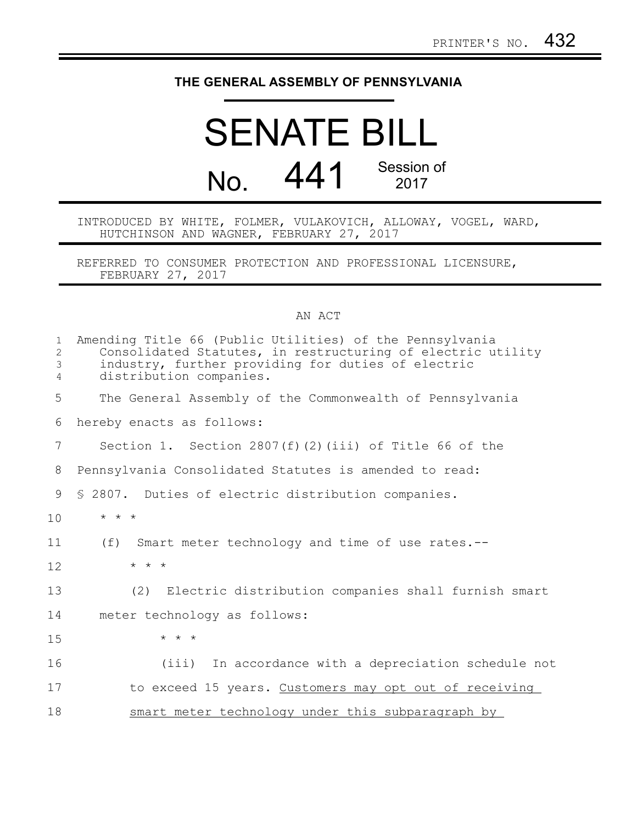## **THE GENERAL ASSEMBLY OF PENNSYLVANIA**

## SENATE BILL No. 441 Session of 2017

INTRODUCED BY WHITE, FOLMER, VULAKOVICH, ALLOWAY, VOGEL, WARD, HUTCHINSON AND WAGNER, FEBRUARY 27, 2017

REFERRED TO CONSUMER PROTECTION AND PROFESSIONAL LICENSURE, FEBRUARY 27, 2017

## AN ACT

| $\mathbf{1}$<br>$\overline{2}$<br>3<br>4 | Amending Title 66 (Public Utilities) of the Pennsylvania<br>Consolidated Statutes, in restructuring of electric utility<br>industry, further providing for duties of electric<br>distribution companies. |
|------------------------------------------|----------------------------------------------------------------------------------------------------------------------------------------------------------------------------------------------------------|
| 5                                        | The General Assembly of the Commonwealth of Pennsylvania                                                                                                                                                 |
| 6                                        | hereby enacts as follows:                                                                                                                                                                                |
| 7                                        | Section 1. Section $2807(f)(2)(iii)$ of Title 66 of the                                                                                                                                                  |
| 8                                        | Pennsylvania Consolidated Statutes is amended to read:                                                                                                                                                   |
| 9                                        | \$ 2807. Duties of electric distribution companies.                                                                                                                                                      |
| 10                                       | $\star$ $\star$ $\star$                                                                                                                                                                                  |
| 11                                       | (f)<br>Smart meter technology and time of use rates.--                                                                                                                                                   |
| 12                                       | $\star$ $\star$ $\star$                                                                                                                                                                                  |
| 13                                       | (2) Electric distribution companies shall furnish smart                                                                                                                                                  |
| 14                                       | meter technology as follows:                                                                                                                                                                             |
| 15                                       | $\star$ $\star$ $\star$                                                                                                                                                                                  |
| 16                                       | In accordance with a depreciation schedule not<br>(iii)                                                                                                                                                  |
| 17                                       | to exceed 15 years. Customers may opt out of receiving                                                                                                                                                   |
| 18                                       | smart meter technology under this subparagraph by                                                                                                                                                        |